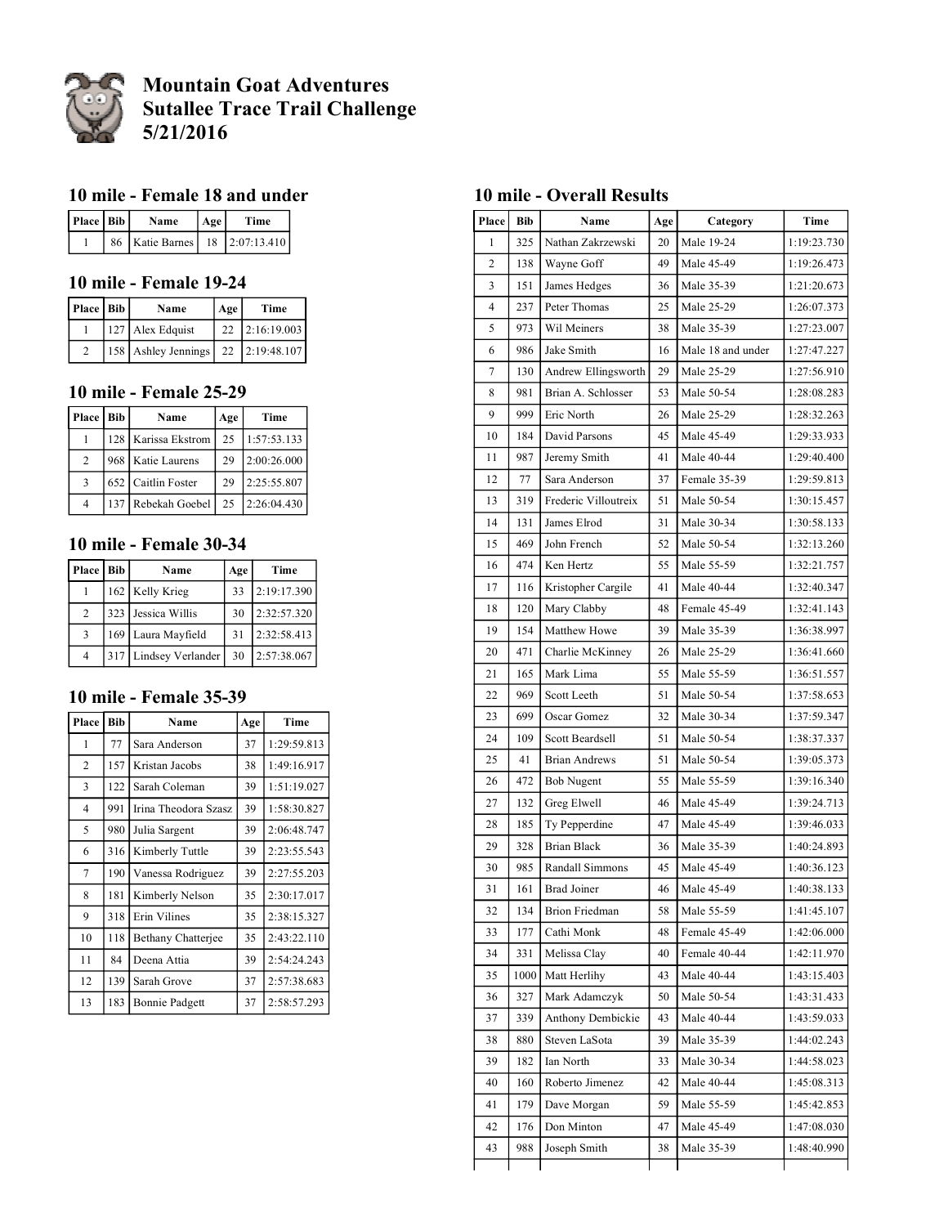

# **Mountain Goat Adventures Sutallee Trace Trail Challenge 5/21/2016**

#### **10 mile - Female 18 and under**

| Place   Bib | Name                                 | l Age l | Time |
|-------------|--------------------------------------|---------|------|
|             | 86   Katie Barnes   18   2:07:13.410 |         |      |

# **10 mile - Female 19-24**

| Place   Bib | Name                               | Age | Time           |
|-------------|------------------------------------|-----|----------------|
|             | 127 Alex Edquist                   |     | 22 2:16:19.003 |
|             | 158 Ashley Jennings 22 2:19:48.107 |     |                |

#### **10 mile - Female 25-29**

| Place   Bib    | Name                  | Age | Time        |
|----------------|-----------------------|-----|-------------|
|                | 128   Karissa Ekstrom | 25  | 1:57:53.133 |
| 2              | 968   Katie Laurens   | 29  | 2:00:26.000 |
| $\mathbf{3}$   | 652 Caitlin Foster    | 29  | 2:25:55.807 |
| $\overline{4}$ | 137 Rebekah Goebel    | 25  | 2:26:04.430 |

#### **10 mile - Female 30-34**

| Place   Bib    | Name                  | Age | Time        |
|----------------|-----------------------|-----|-------------|
|                | 162 Kelly Krieg       | 33  | 2:19:17.390 |
| 2              | 323 Jessica Willis    | 30  | 2:32:57.320 |
| $\mathcal{R}$  | 169 Laura Mayfield    | 31  | 2:32:58.413 |
| $\overline{4}$ | 317 Lindsey Verlander | 30  | 2:57:38.067 |

#### **10 mile - Female 35-39**

| Place          | <b>Bib</b> | Name                  | Age | Time        |
|----------------|------------|-----------------------|-----|-------------|
| 1              | 77         | Sara Anderson         | 37  | 1:29:59.813 |
| $\overline{2}$ | 157        | Kristan Jacobs        | 38  | 1:49:16.917 |
| 3              | 122        | Sarah Coleman         | 39  | 1:51:19.027 |
| $\overline{4}$ | 991        | Irina Theodora Szasz  | 39  | 1:58:30.827 |
| 5              | 980        | Julia Sargent         | 39  | 2:06:48.747 |
| 6              | 316        | Kimberly Tuttle       | 39  | 2:23:55.543 |
| 7              | 190        | Vanessa Rodriguez     | 39  | 2:27:55.203 |
| 8              | 181        | Kimberly Nelson       | 35  | 2:30:17.017 |
| 9              | 318        | Erin Vilines          | 35  | 2:38:15.327 |
| 10             | 118        | Bethany Chatterjee    | 35  | 2:43:22.110 |
| 11             | 84         | Deena Attia           | 39  | 2:54:24.243 |
| 12             | 139        | Sarah Grove           | 37  | 2:57:38.683 |
| 13             | 183        | <b>Bonnie Padgett</b> | 37  | 2:58:57.293 |

#### **10 mile - Overall Results**

| Place          | Bib  | Name                  | Age | Category          | Time        |
|----------------|------|-----------------------|-----|-------------------|-------------|
| 1              | 325  | Nathan Zakrzewski     | 20  | Male 19-24        | 1:19:23.730 |
| $\overline{c}$ | 138  | Wayne Goff            | 49  | Male 45-49        | 1:19:26.473 |
| 3              | 151  | James Hedges          | 36  | Male 35-39        | 1:21:20.673 |
| 4              | 237  | Peter Thomas          | 25  | Male 25-29        | 1:26:07.373 |
| 5              | 973  | Wil Meiners           | 38  | Male 35-39        | 1:27:23.007 |
| 6              | 986  | Jake Smith            | 16  | Male 18 and under | 1:27:47.227 |
| 7              | 130  | Andrew Ellingsworth   | 29  | Male 25-29        | 1:27:56.910 |
| 8              | 981  | Brian A. Schlosser    | 53  | Male 50-54        | 1:28:08.283 |
| 9              | 999  | Eric North            | 26  | Male 25-29        | 1:28:32.263 |
| 10             | 184  | David Parsons         | 45  | Male 45-49        | 1:29:33.933 |
| 11             | 987  | Jeremy Smith          | 41  | Male 40-44        | 1:29:40.400 |
| 12             | 77   | Sara Anderson         | 37  | Female 35-39      | 1:29:59.813 |
| 13             | 319  | Frederic Villoutreix  | 51  | Male 50-54        | 1:30:15.457 |
| 14             | 131  | James Elrod           | 31  | Male 30-34        | 1:30:58.133 |
| 15             | 469  | John French           | 52  | Male 50-54        | 1:32:13.260 |
| 16             | 474  | Ken Hertz             | 55  | Male 55-59        | 1:32:21.757 |
| 17             | 116  | Kristopher Cargile    | 41  | Male 40-44        | 1:32:40.347 |
| 18             | 120  | Mary Clabby           | 48  | Female 45-49      | 1:32:41.143 |
| 19             | 154  | Matthew Howe          | 39  | Male 35-39        | 1:36:38.997 |
| 20             | 471  | Charlie McKinney      | 26  | Male 25-29        | 1:36:41.660 |
| 21             | 165  | Mark Lima             | 55  | Male 55-59        | 1:36:51.557 |
| 22             | 969  | Scott Leeth           | 51  | Male 50-54        | 1:37:58.653 |
| 23             | 699  | Oscar Gomez           | 32  | Male 30-34        | 1:37:59.347 |
| 24             | 109  | Scott Beardsell       | 51  | Male 50-54        | 1:38:37.337 |
| 25             | 41   | <b>Brian Andrews</b>  | 51  | Male 50-54        | 1:39:05.373 |
| 26             | 472  | <b>Bob Nugent</b>     | 55  | Male 55-59        | 1:39:16.340 |
| 27             | 132  | Greg Elwell           | 46  | Male 45-49        | 1:39:24.713 |
| 28             | 185  | Ty Pepperdine         | 47  | Male 45-49        | 1:39:46.033 |
| 29             | 328  | <b>Brian Black</b>    | 36  | Male 35-39        | 1:40:24.893 |
| 30             | 985  | Randall Simmons       | 45  | Male 45-49        | 1:40:36.123 |
| 31             | 161  | <b>Brad Joiner</b>    | 46  | Male 45-49        | 1:40:38.133 |
| 32             | 134  | <b>Brion Friedman</b> | 58  | Male 55-59        | 1:41:45.107 |
| 33             | 177  | Cathi Monk            | 48  | Female 45-49      | 1:42:06.000 |
| 34             | 331  | Melissa Clay          | 40  | Female 40-44      | 1:42:11.970 |
| 35             | 1000 | Matt Herlihy          | 43  | Male 40-44        | 1:43:15.403 |
| 36             | 327  | Mark Adamczyk         | 50  | Male 50-54        | 1:43:31.433 |
| 37             | 339  | Anthony Dembickie     | 43  | Male 40-44        | 1:43:59.033 |
| 38             | 880  | Steven LaSota         | 39  | Male 35-39        | 1:44:02.243 |
| 39             | 182  | Ian North             | 33  | Male 30-34        | 1:44:58.023 |
| 40             | 160  | Roberto Jimenez       | 42  | Male 40-44        | 1:45:08.313 |
| 41             | 179  | Dave Morgan           | 59  | Male 55-59        | 1:45:42.853 |
| 42             | 176  | Don Minton            | 47  | Male 45-49        | 1:47:08.030 |
| 43             | 988  | Joseph Smith          | 38  | Male 35-39        | 1:48:40.990 |
|                |      |                       |     |                   |             |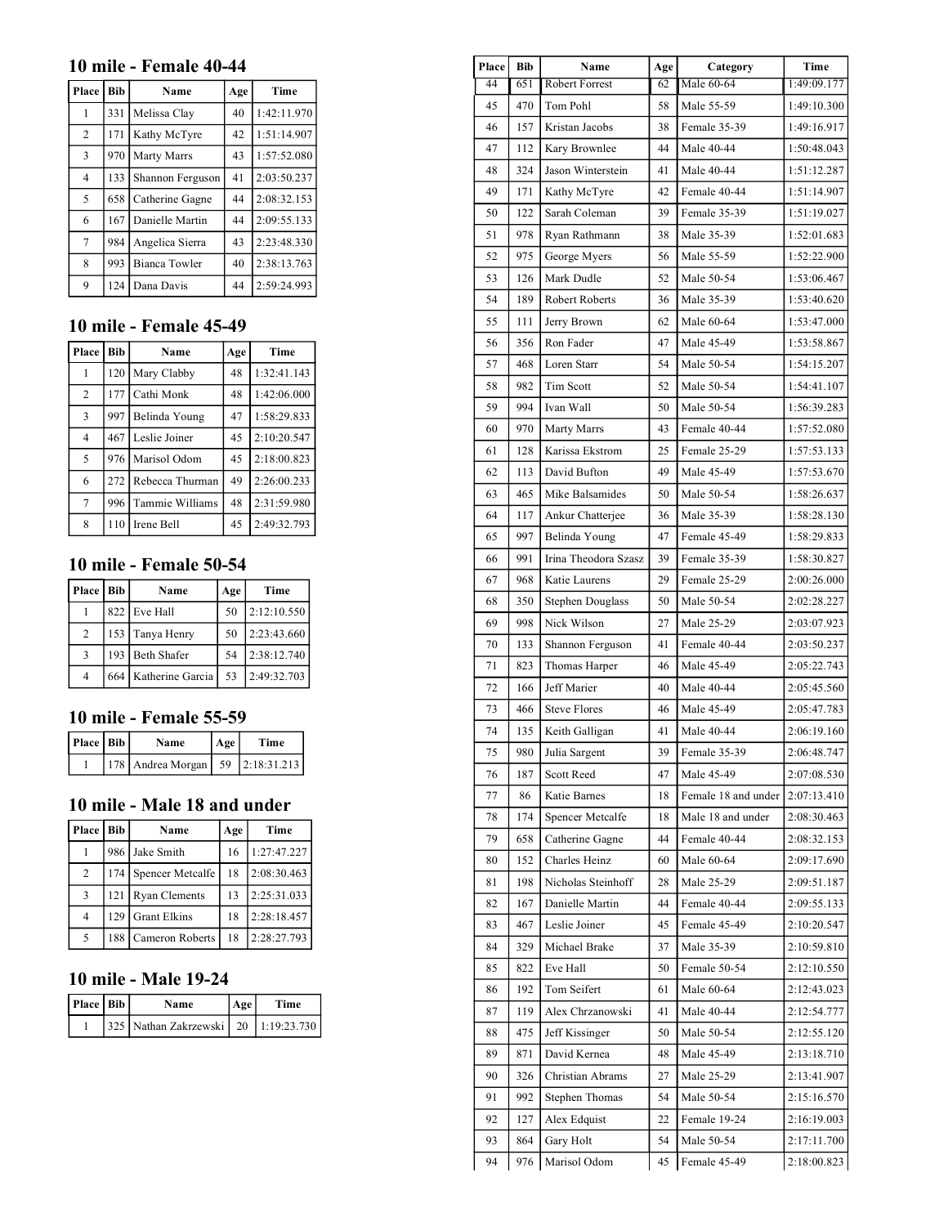#### **10 mile - Female 40-44**

| Place          | <b>Bib</b> | Name                 | Age | Time        |
|----------------|------------|----------------------|-----|-------------|
| 1              | 331        | Melissa Clay         | 40  | 1:42:11.970 |
| $\overline{2}$ | 171        | Kathy McTyre         | 42  | 1:51:14.907 |
| 3              | 970        | Marty Marrs          | 43  | 1:57:52.080 |
| $\overline{4}$ | 133        | Shannon Ferguson     | 41  | 2:03:50.237 |
| 5              | 658        | Catherine Gagne      | 44  | 2:08:32.153 |
| 6              | 167        | Danielle Martin      | 44  | 2:09:55.133 |
| 7              | 984        | Angelica Sierra      | 43  | 2:23:48.330 |
| 8              | 993        | <b>Bianca Towler</b> | 40  | 2:38:13.763 |
| 9              | 124        | Dana Davis           | 44  | 2:59:24.993 |

### **10 mile - Female 45-49**

| Place          | <b>Bib</b> | Name            | Age | Time        |
|----------------|------------|-----------------|-----|-------------|
|                | 120        | Mary Clabby     | 48  | 1:32:41.143 |
| $\overline{2}$ | 177        | Cathi Monk      | 48  | 1:42:06.000 |
| 3              | 997        | Belinda Young   | 47  | 1:58:29.833 |
| $\overline{4}$ | 467        | Leslie Joiner   | 45  | 2:10:20.547 |
| 5              | 976        | Marisol Odom    | 45  | 2:18:00.823 |
| 6              | 272        | Rebecca Thurman | 49  | 2:26:00.233 |
| 7              | 996        | Tammie Williams | 48  | 2:31:59.980 |
| 8              | 110        | Irene Bell      | 45  | 2:49:32.793 |

# **10 mile - Female 50-54**

| Place   Bib    | Name                 | Age | Time        |
|----------------|----------------------|-----|-------------|
|                | 822 Eve Hall         | 50  | 2:12:10.550 |
| $\overline{2}$ | 153 Tanya Henry      | 50  | 2:23:43.660 |
| $\mathbf{3}$   | 193 Beth Shafer      | 54  | 2:38:12.740 |
| $\overline{4}$ | 664 Katherine Garcia | 53  | 2:49:32.703 |

### **10 mile - Female 55-59**

| Place   Bib | <b>Name</b>                            | Age | Time |
|-------------|----------------------------------------|-----|------|
|             | 178   Andrea Morgan   59   2:18:31.213 |     |      |

#### **10 mile - Male 18 and under**

| Place   Bib    |                  | Name                 | Age | Time        |
|----------------|------------------|----------------------|-----|-------------|
|                |                  | 986 Jake Smith       | 16  | 1:27:47.227 |
| 2              | 174 <sub>1</sub> | Spencer Metcalfe     | 18  | 2:08:30.463 |
| $\mathbf{3}$   | 121              | <b>Ryan Clements</b> | 13  | 2:25:31.033 |
| $\overline{4}$ | 129              | <b>Grant Elkins</b>  | 18  | 2:28:18.457 |
|                | 188              | Cameron Roberts      | 18  | 2:28:27.793 |

### **10 mile - Male 19-24**

| Place   Bib | Name                                     | Age | Time |
|-------------|------------------------------------------|-----|------|
|             | 325 Nathan Zakrzewski   20   1:19:23.730 |     |      |

| Place | Bib | Name                  | Age | Category            | Time        |
|-------|-----|-----------------------|-----|---------------------|-------------|
| 44    | 651 | <b>Robert Forrest</b> | 62  | Male 60-64          | 1:49:09.177 |
| 45    | 470 | Tom Pohl              | 58  | Male 55-59          | 1:49:10.300 |
| 46    | 157 | Kristan Jacobs        | 38  | Female 35-39        | 1:49:16.917 |
| 47    | 112 | Kary Brownlee         | 44  | Male 40-44          | 1:50:48.043 |
| 48    | 324 | Jason Winterstein     | 41  | Male 40-44          | 1:51:12.287 |
| 49    | 171 | Kathy McTyre          | 42  | Female 40-44        | 1:51:14.907 |
| 50    | 122 | Sarah Coleman         | 39  | Female 35-39        | 1:51:19.027 |
| 51    | 978 | Ryan Rathmann         | 38  | Male 35-39          | 1:52:01.683 |
| 52    | 975 | George Myers          | 56  | Male 55-59          | 1:52:22.900 |
| 53    | 126 | Mark Dudle            | 52  | Male 50-54          | 1:53:06.467 |
| 54    | 189 | Robert Roberts        | 36  | Male 35-39          | 1:53:40.620 |
| 55    | 111 | Jerry Brown           | 62  | Male 60-64          | 1:53:47.000 |
| 56    | 356 | Ron Fader             | 47  | Male 45-49          | 1:53:58.867 |
| 57    | 468 | Loren Starr           | 54  | Male 50-54          | 1:54:15.207 |
| 58    | 982 | <b>Tim Scott</b>      | 52  | Male 50-54          | 1:54:41.107 |
| 59    | 994 | Ivan Wall             | 50  | Male 50-54          | 1:56:39.283 |
| 60    | 970 | Marty Marrs           | 43  | Female 40-44        | 1:57:52.080 |
| 61    | 128 | Karissa Ekstrom       | 25  | Female 25-29        | 1:57:53.133 |
| 62    | 113 | David Bufton          | 49  | Male 45-49          | 1:57:53.670 |
| 63    | 465 | Mike Balsamides       | 50  | Male 50-54          | 1:58:26.637 |
| 64    | 117 | Ankur Chatterjee      | 36  | Male 35-39          | 1:58:28.130 |
| 65    | 997 | Belinda Young         | 47  | Female 45-49        | 1:58:29.833 |
| 66    | 991 | Irina Theodora Szasz  | 39  | Female 35-39        | 1:58:30.827 |
| 67    | 968 | Katie Laurens         | 29  | Female 25-29        | 2:00:26.000 |
| 68    | 350 | Stephen Douglass      | 50  | Male 50-54          | 2:02:28.227 |
| 69    | 998 | Nick Wilson           | 27  | Male 25-29          | 2:03:07.923 |
| 70    | 133 | Shannon Ferguson      | 41  | Female 40-44        | 2:03:50.237 |
| 71    | 823 | Thomas Harper         | 46  | Male 45-49          | 2:05:22.743 |
| 72    | 166 | Jeff Marier           | 40  | Male 40-44          | 2:05:45.560 |
| 73    | 466 | <b>Steve Flores</b>   | 46  | Male 45-49          | 2:05:47.783 |
| 74    | 135 | Keith Galligan        | 41  | Male 40-44          | 2:06:19.160 |
| 75    | 980 | Julia Sargent         | 39  | Female 35-39        | 2:06:48.747 |
| 76    | 187 | Scott Reed            | 47  | Male 45-49          | 2:07:08.530 |
| 77    | 86  | Katie Barnes          | 18  | Female 18 and under | 2:07:13.410 |
| 78    | 174 | Spencer Metcalfe      | 18  | Male 18 and under   | 2:08:30.463 |
| 79    | 658 | Catherine Gagne       | 44  | Female 40-44        | 2:08:32.153 |
| 80    | 152 | Charles Heinz         | 60  | Male 60-64          | 2:09:17.690 |
| 81    | 198 | Nicholas Steinhoff    | 28  | Male 25-29          | 2:09:51.187 |
| 82    | 167 | Danielle Martin       | 44  | Female 40-44        | 2:09:55.133 |
| 83    | 467 | Leslie Joiner         | 45  | Female 45-49        | 2:10:20.547 |
| 84    | 329 | Michael Brake         | 37  | Male 35-39          | 2:10:59.810 |
| 85    | 822 | Eve Hall              | 50  | Female 50-54        | 2:12:10.550 |
| 86    | 192 | Tom Seifert           | 61  | Male 60-64          | 2:12:43.023 |
| 87    | 119 | Alex Chrzanowski      | 41  | Male 40-44          | 2:12:54.777 |
| 88    | 475 | Jeff Kissinger        | 50  | Male 50-54          | 2:12:55.120 |
| 89    | 871 | David Kernea          | 48  | Male 45-49          | 2:13:18.710 |
| 90    | 326 | Christian Abrams      | 27  | Male 25-29          | 2:13:41.907 |
| 91    | 992 | Stephen Thomas        | 54  | Male 50-54          | 2:15:16.570 |
| 92    | 127 | Alex Edquist          | 22  | Female 19-24        | 2:16:19.003 |
| 93    | 864 | Gary Holt             | 54  | Male 50-54          | 2:17:11.700 |
| 94    | 976 | Marisol Odom          | 45  | Female 45-49        | 2:18:00.823 |
|       |     |                       |     |                     |             |

 $\mathbf{r}$ 

 $\blacksquare$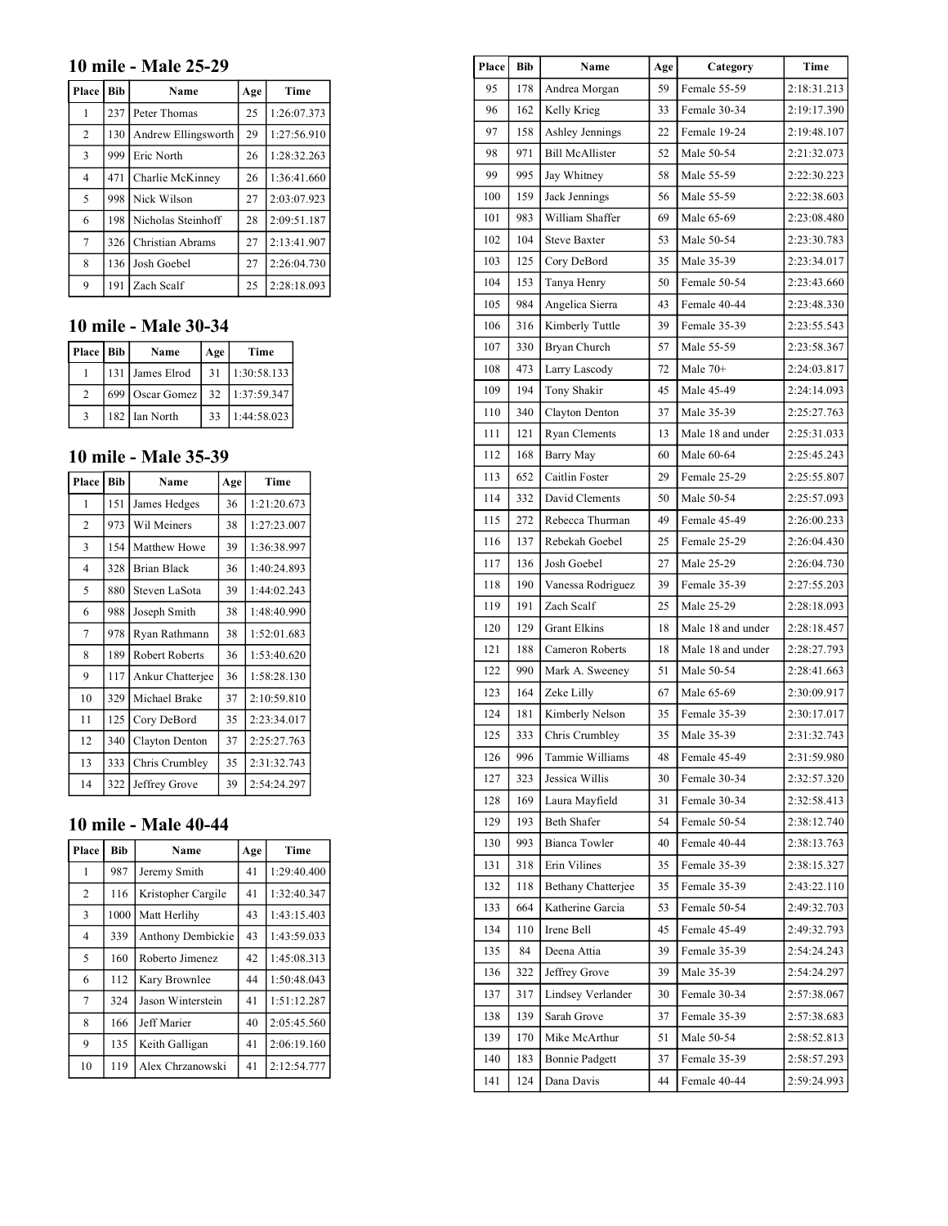### **10 mile - Male 25-29**

| Place          | <b>Bib</b> | Name                | Age | Time        |
|----------------|------------|---------------------|-----|-------------|
| 1              | 237        | Peter Thomas        | 25  | 1:26:07.373 |
| $\overline{2}$ | 130        | Andrew Ellingsworth | 29  | 1:27:56.910 |
| $\overline{3}$ | 999        | Eric North          | 26  | 1:28:32.263 |
| $\overline{4}$ | 471        | Charlie McKinney    | 26  | 1:36:41.660 |
| 5              | 998        | Nick Wilson         | 27  | 2:03:07.923 |
| 6              | 198        | Nicholas Steinhoff  | 28  | 2:09:51.187 |
| $\tau$         | 326        | Christian Abrams    | 27  | 2:13:41.907 |
| 8              | 136        | Josh Goebel         | 27  | 2:26:04.730 |
| 9              | 191        | Zach Scalf          | 25  | 2:28:18.093 |

### **10 mile - Male 30-34**

| Place   Bib | Name                   | Age | Time        |
|-------------|------------------------|-----|-------------|
|             | 131 James Elrod        | 31  | 1:30:58.133 |
|             | 699   Oscar Gomez   32 |     | 1:37:59.347 |
|             | 182 Ian North          | 33  | 1:44:58.023 |

### **10 mile - Male 35-39**

| Place          | <b>Bib</b> | Name                  | Age | <b>Time</b> |
|----------------|------------|-----------------------|-----|-------------|
| 1              | 151        | James Hedges          | 36  | 1:21:20.673 |
| $\overline{2}$ | 973        | Wil Meiners           | 38  | 1:27:23.007 |
| 3              | 154        | Matthew Howe          | 39  | 1:36:38.997 |
| $\overline{4}$ | 328        | <b>Brian Black</b>    | 36  | 1:40:24.893 |
| 5              | 880        | Steven LaSota         | 39  | 1:44:02.243 |
| 6              | 988        | Joseph Smith          | 38  | 1:48:40.990 |
| 7              | 978        | Ryan Rathmann         | 38  | 1:52:01.683 |
| 8              | 189        | <b>Robert Roberts</b> | 36  | 1:53:40.620 |
| 9              | 117        | Ankur Chatterjee      | 36  | 1:58:28.130 |
| 10             | 329        | Michael Brake         | 37  | 2:10:59.810 |
| 11             | 125        | Cory DeBord           | 35  | 2:23:34.017 |
| 12             | 340        | Clayton Denton        | 37  | 2:25:27.763 |
| 13             | 333        | Chris Crumbley        | 35  | 2:31:32.743 |
| 14             | 322        | Jeffrey Grove         | 39  | 2:54:24.297 |

# **10 mile - Male 40-44**

| Place          | <b>Bib</b> | Name               | Age | Time        |
|----------------|------------|--------------------|-----|-------------|
| 1              | 987        | Jeremy Smith       | 41  | 1:29:40.400 |
| $\overline{2}$ | 116        | Kristopher Cargile | 41  | 1:32:40.347 |
| 3              | 1000       | Matt Herlihy       | 43  | 1:43:15.403 |
| $\overline{4}$ | 339        | Anthony Dembickie  | 43  | 1:43:59.033 |
| 5              | 160        | Roberto Jimenez    | 42  | 1:45:08.313 |
| 6              | 112        | Kary Brownlee      | 44  | 1:50:48.043 |
| 7              | 324        | Jason Winterstein  | 41  | 1:51:12.287 |
| 8              | 166        | Jeff Marier        | 40  | 2:05:45.560 |
| 9              | 135        | Keith Galligan     | 41  | 2:06:19.160 |
| 10             | 119        | Alex Chrzanowski   | 41  | 2:12:54.777 |

| Place | <b>Bib</b> | Name                   | Age | Category          | Time        |
|-------|------------|------------------------|-----|-------------------|-------------|
| 95    | 178        | Andrea Morgan          | 59  | Female 55-59      | 2:18:31.213 |
| 96    | 162        | Kelly Krieg            | 33  | Female 30-34      | 2:19:17.390 |
| 97    | 158        | Ashley Jennings        | 22  | Female 19-24      | 2:19:48.107 |
| 98    | 971        | <b>Bill McAllister</b> | 52  | Male 50-54        | 2:21:32.073 |
| 99    | 995        | Jay Whitney            | 58  | Male 55-59        | 2:22:30.223 |
| 100   | 159        | Jack Jennings          | 56  | Male 55-59        | 2:22:38.603 |
| 101   | 983        | William Shaffer        | 69  | Male 65-69        | 2:23:08.480 |
| 102   | 104        | <b>Steve Baxter</b>    | 53  | Male 50-54        | 2:23:30.783 |
| 103   | 125        | Cory DeBord            | 35  | Male 35-39        | 2:23:34.017 |
| 104   | 153        | Tanya Henry            | 50  | Female 50-54      | 2:23:43.660 |
| 105   | 984        | Angelica Sierra        | 43  | Female 40-44      | 2:23:48.330 |
| 106   | 316        | Kimberly Tuttle        | 39  | Female 35-39      | 2:23:55.543 |
| 107   | 330        | Bryan Church           | 57  | Male 55-59        | 2:23:58.367 |
| 108   | 473        | Larry Lascody          | 72  | Male $70+$        | 2:24:03.817 |
| 109   | 194        | Tony Shakir            | 45  | Male 45-49        | 2:24:14.093 |
| 110   | 340        | Clayton Denton         | 37  | Male 35-39        | 2:25:27.763 |
| 111   | 121        | Ryan Clements          | 13  | Male 18 and under | 2:25:31.033 |
| 112   | 168        | Barry May              | 60  | Male 60-64        | 2:25:45.243 |
| 113   | 652        | Caitlin Foster         | 29  | Female 25-29      | 2:25:55.807 |
| 114   | 332        | David Clements         | 50  | Male 50-54        | 2:25:57.093 |
| 115   | 272        | Rebecca Thurman        | 49  | Female 45-49      | 2:26:00.233 |
| 116   | 137        | Rebekah Goebel         | 25  | Female 25-29      | 2:26:04.430 |
| 117   | 136        | Josh Goebel            | 27  | Male 25-29        | 2:26:04.730 |
| 118   | 190        | Vanessa Rodriguez      | 39  | Female 35-39      | 2:27:55.203 |
| 119   | 191        | Zach Scalf             | 25  | Male 25-29        | 2:28:18.093 |
| 120   | 129        | <b>Grant Elkins</b>    | 18  | Male 18 and under | 2:28:18.457 |
| 121   | 188        | Cameron Roberts        | 18  | Male 18 and under | 2:28:27.793 |
| 122   | 990        | Mark A. Sweeney        | 51  | Male 50-54        | 2:28:41.663 |
| 123   | 164        | Zeke Lilly             | 67  | Male 65-69        | 2:30:09.917 |
| 124   | 181        | Kimberly Nelson        | 35  | Female 35-39      | 2:30:17.017 |
| 125   | 333        | Chris Crumbley         | 35  | Male 35-39        | 2:31:32.743 |
| 126   | 996        | Tammie Williams        | 48  | Female 45-49      | 2:31:59.980 |
| 127   | 323        | Jessica Willis         | 30  | Female 30-34      | 2:32:57.320 |
| 128   | 169        | Laura Mayfield         | 31  | Female 30-34      | 2:32:58.413 |
| 129   | 193        | <b>Beth Shafer</b>     | 54  | Female 50-54      | 2:38:12.740 |
| 130   | 993        | Bianca Towler          | 40  | Female 40-44      | 2:38:13.763 |
| 131   | 318        | Erin Vilines           | 35  | Female 35-39      | 2:38:15.327 |
| 132   | 118        | Bethany Chatterjee     | 35  | Female 35-39      | 2:43:22.110 |
| 133   | 664        | Katherine Garcia       | 53  | Female 50-54      | 2:49:32.703 |
| 134   | 110        | Irene Bell             | 45  | Female 45-49      | 2:49:32.793 |
| 135   | 84         | Deena Attia            | 39  | Female 35-39      | 2:54:24.243 |
| 136   | 322        | Jeffrey Grove          | 39  | Male 35-39        | 2:54:24.297 |
| 137   | 317        | Lindsey Verlander      | 30  | Female 30-34      | 2:57:38.067 |
| 138   | 139        | Sarah Grove            | 37  | Female 35-39      | 2:57:38.683 |
| 139   | 170        | Mike McArthur          | 51  | Male 50-54        | 2:58:52.813 |
| 140   | 183        | <b>Bonnie Padgett</b>  | 37  | Female 35-39      | 2:58:57.293 |
| 141   | 124        | Dana Davis             | 44  | Female 40-44      | 2:59:24.993 |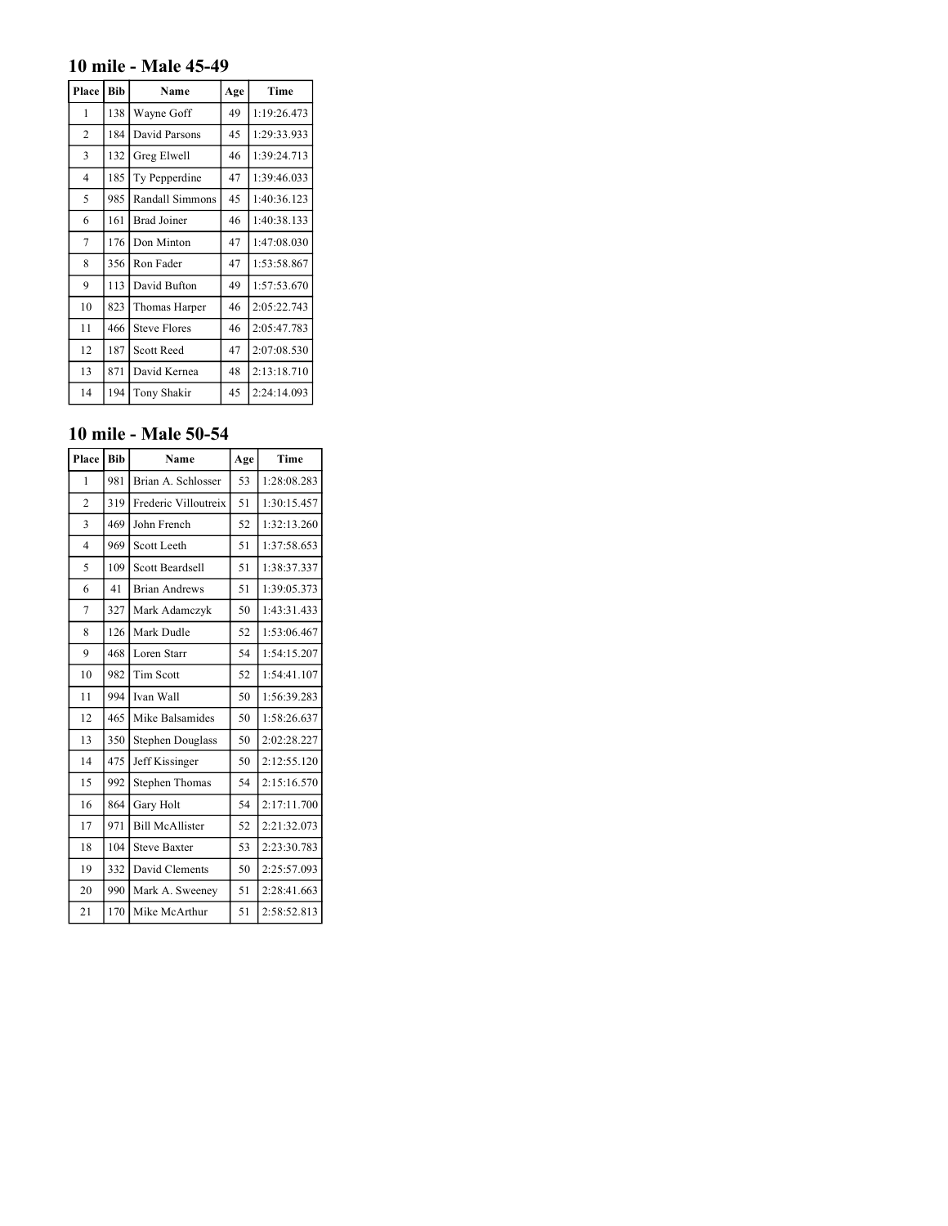# **10 mile - Male 45-49**

| Place          | Bib | Name                | Age | Time        |
|----------------|-----|---------------------|-----|-------------|
| 1              | 138 | Wayne Goff          | 49  | 1:19:26.473 |
| $\overline{2}$ | 184 | David Parsons       | 45  | 1:29:33.933 |
| 3              | 132 | Greg Elwell         | 46  | 1:39:24.713 |
| $\overline{4}$ | 185 | Ty Pepperdine       | 47  | 1:39:46.033 |
| 5              | 985 | Randall Simmons     | 45  | 1:40:36.123 |
| 6              | 161 | <b>Brad Joiner</b>  | 46  | 1:40:38.133 |
| 7              | 176 | Don Minton          | 47  | 1:47:08.030 |
| 8              | 356 | Ron Fader           | 47  | 1:53:58.867 |
| 9              | 113 | David Bufton        | 49  | 1:57:53.670 |
| 10             | 823 | Thomas Harper       | 46  | 2:05:22.743 |
| 11             | 466 | <b>Steve Flores</b> | 46  | 2:05:47.783 |
| 12             | 187 | <b>Scott Reed</b>   | 47  | 2:07:08.530 |
| 13             | 871 | David Kernea        | 48  | 2:13:18.710 |
| 14             | 194 | Tony Shakir         | 45  | 2:24:14.093 |

### **10 mile - Male 50-54**

| Place          | <b>Bib</b> | Name                    | Age | Time        |
|----------------|------------|-------------------------|-----|-------------|
| 1              | 981        | Brian A. Schlosser      | 53  | 1:28:08.283 |
| $\overline{c}$ | 319        | Frederic Villoutreix    | 51  | 1:30:15.457 |
| 3              | 469        | John French             | 52  | 1:32:13.260 |
| $\overline{4}$ | 969        | Scott Leeth             | 51  | 1:37:58.653 |
| 5              | 109        | <b>Scott Beardsell</b>  | 51  | 1:38:37.337 |
| 6              | 41         | <b>Brian Andrews</b>    | 51  | 1:39:05.373 |
| 7              | 327        | Mark Adamczyk           | 50  | 1:43:31.433 |
| 8              | 126        | Mark Dudle              | 52  | 1:53:06.467 |
| 9              | 468        | Loren Starr             | 54  | 1:54:15.207 |
| 10             | 982        | <b>Tim Scott</b>        | 52  | 1:54:41.107 |
| 11             | 994        | Ivan Wall               | 50  | 1:56:39.283 |
| 12             | 465        | Mike Balsamides         | 50  | 1:58:26.637 |
| 13             | 350        | <b>Stephen Douglass</b> | 50  | 2:02:28.227 |
| 14             | 475        | Jeff Kissinger          | 50  | 2:12:55.120 |
| 15             | 992        | <b>Stephen Thomas</b>   | 54  | 2:15:16.570 |
| 16             | 864        | Gary Holt               | 54  | 2:17:11.700 |
| 17             | 971        | <b>Bill McAllister</b>  | 52  | 2:21:32.073 |
| 18             | 104        | <b>Steve Baxter</b>     | 53  | 2:23:30.783 |
| 19             | 332        | David Clements          | 50  | 2:25:57.093 |
| 20             | 990        | Mark A. Sweeney         | 51  | 2:28:41.663 |
| 21             | 170        | Mike McArthur           | 51  | 2:58:52.813 |